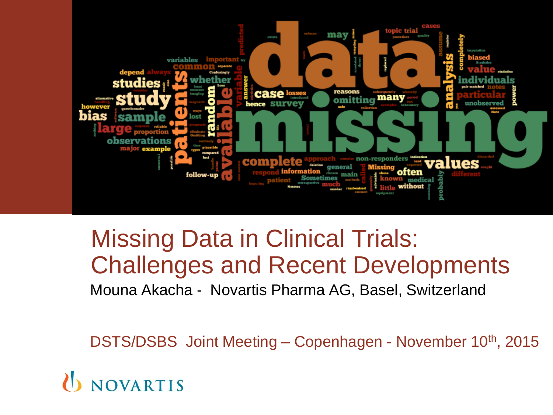

## Mouna Akacha - Novartis Pharma AG, Basel, Switzerland Missing Data in Clinical Trials: Challenges and Recent Developments

DSTS/DSBS Joint Meeting – Copenhagen - November 10<sup>th</sup>, 2015

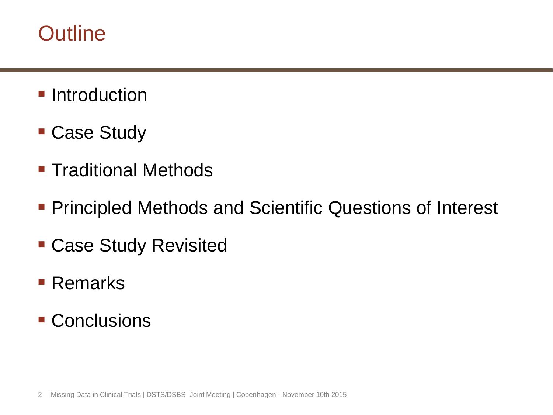## **Outline**

- **Introduction**
- Case Study
- **Traditional Methods**
- **Principled Methods and Scientific Questions of Interest**
- Case Study Revisited
- Remarks
- Conclusions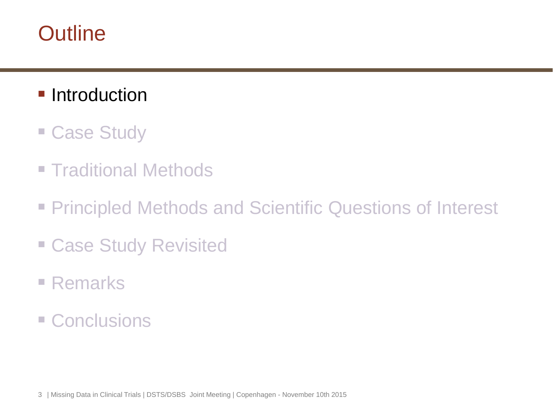## **Outline**

- **Introduction**
- Case Study
- **Traditional Methods**
- **Principled Methods and Scientific Questions of Interest**
- Case Study Revisited
- Remarks
- **E** Conclusions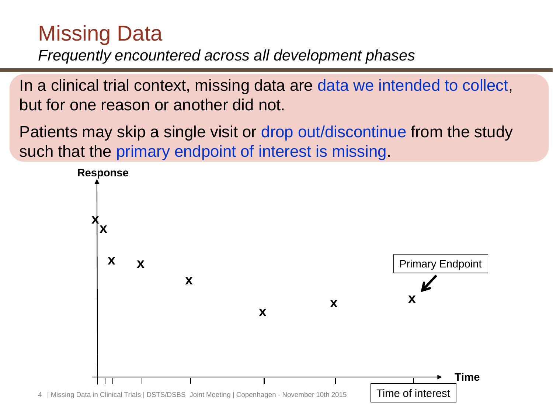## Missing Data

*Frequently encountered across all development phases*

In a clinical trial context, missing data are data we intended to collect, but for one reason or another did not.

Patients may skip a single visit or drop out/discontinue from the study such that the primary endpoint of interest is missing.

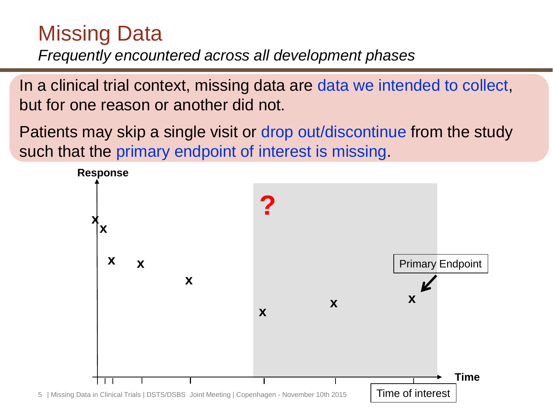## Missing Data

*Frequently encountered across all development phases*

In a clinical trial context, missing data are data we intended to collect, but for one reason or another did not.

Patients may skip a single visit or drop out/discontinue from the study such that the primary endpoint of interest is missing.

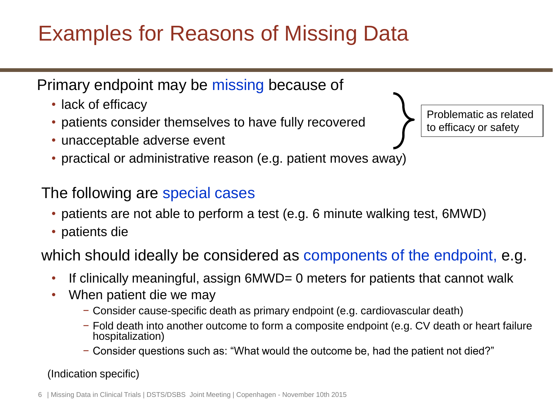# Examples for Reasons of Missing Data

Primary endpoint may be missing because of

- lack of efficacy
- patients consider themselves to have fully recovered
- unacceptable adverse event
- practical or administrative reason (e.g. patient moves away)

#### The following are special cases

- patients are not able to perform a test (e.g. 6 minute walking test, 6MWD)
- patients die

which should ideally be considered as components of the endpoint, e.g.

- If clinically meaningful, assign 6MWD= 0 meters for patients that cannot walk
- When patient die we may
	- − Consider cause-specific death as primary endpoint (e.g. cardiovascular death)
	- − Fold death into another outcome to form a composite endpoint (e.g. CV death or heart failure hospitalization)
	- − Consider questions such as: "What would the outcome be, had the patient not died?"

(Indication specific)

Problematic as related to efficacy or safety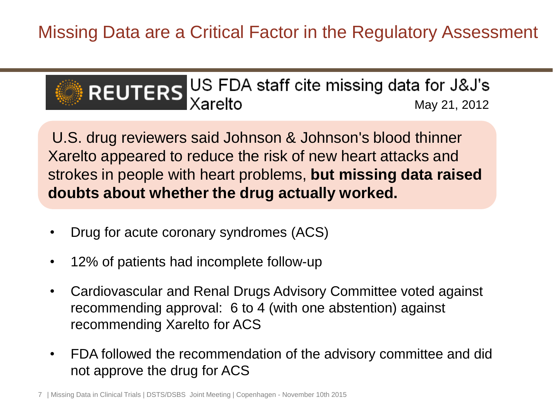Missing Data are a Critical Factor in the Regulatory Assessment



U.S. drug reviewers said Johnson & Johnson's blood thinner Xarelto appeared to reduce the risk of new heart attacks and strokes in people with heart problems, **but missing data raised doubts about whether the drug actually worked.**

- Drug for acute coronary syndromes (ACS)
- 12% of patients had incomplete follow-up
- Cardiovascular and Renal Drugs Advisory Committee voted against recommending approval: 6 to 4 (with one abstention) against recommending Xarelto for ACS
- FDA followed the recommendation of the advisory committee and did not approve the drug for ACS

7 | Missing Data in Clinical Trials | DSTS/DSBS Joint Meeting | Copenhagen - November 10th 2015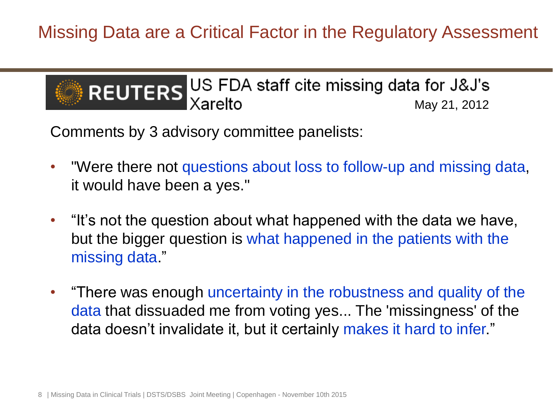Missing Data are a Critical Factor in the Regulatory Assessment



Comments by 3 advisory committee panelists:

- "Were there not questions about loss to follow-up and missing data, it would have been a yes."
- "It's not the question about what happened with the data we have, but the bigger question is what happened in the patients with the missing data."
- "There was enough uncertainty in the robustness and quality of the data that dissuaded me from voting yes... The 'missingness' of the data doesn't invalidate it, but it certainly makes it hard to infer."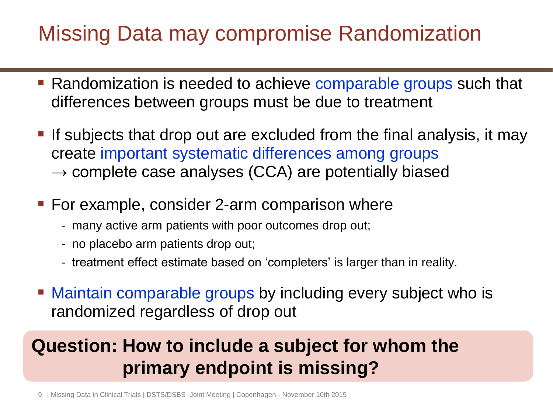## Missing Data may compromise Randomization

- Randomization is needed to achieve comparable groups such that differences between groups must be due to treatment
- **If** subjects that drop out are excluded from the final analysis, it may create important systematic differences among groups  $\rightarrow$  complete case analyses (CCA) are potentially biased
- For example, consider 2-arm comparison where
	- many active arm patients with poor outcomes drop out;
	- no placebo arm patients drop out;
	- treatment effect estimate based on 'completers' is larger than in reality.
- Maintain comparable groups by including every subject who is randomized regardless of drop out

## **Question: How to include a subject for whom the primary endpoint is missing?**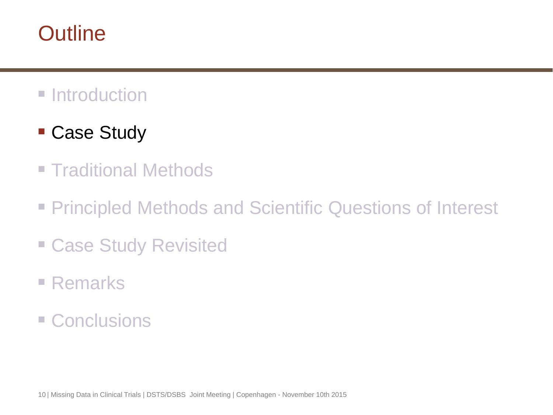## **Outline**

## **Introduction**

- Case Study
- **Traditional Methods**
- **Principled Methods and Scientific Questions of Interest**
- Case Study Revisited
- Remarks
- **E** Conclusions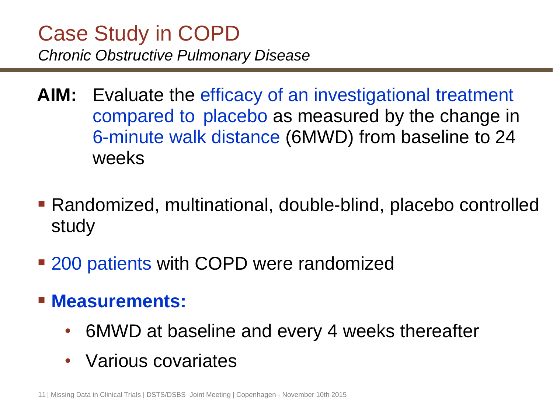## Case Study in COPD *Chronic Obstructive Pulmonary Disease*

- **AIM:** Evaluate the efficacy of an investigational treatment compared to placebo as measured by the change in 6-minute walk distance (6MWD) from baseline to 24 weeks
- Randomized, multinational, double-blind, placebo controlled study
- **200 patients with COPD were randomized**
- **Measurements:** 
	- 6MWD at baseline and every 4 weeks thereafter
	- Various covariates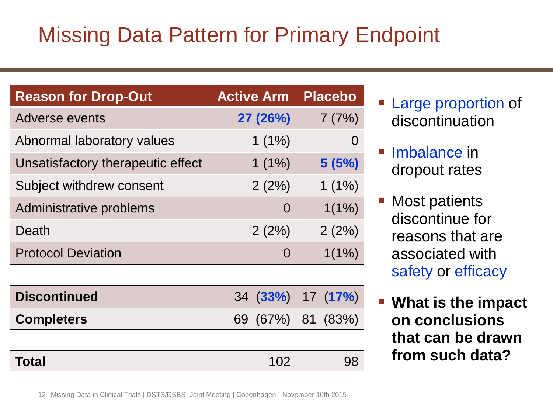# Missing Data Pattern for Primary Endpoint

| <b>Reason for Drop-Out</b>        | <b>Active Arm</b> | <b>Placebo</b> |
|-----------------------------------|-------------------|----------------|
| <b>Adverse events</b>             | 27 (26%)          | 7(7%)          |
| Abnormal laboratory values        | $1(1\%)$          |                |
| Unsatisfactory therapeutic effect | $1(1\%)$          | 5(5%)          |
| Subject withdrew consent          | 2(2%)             | $1(1\%)$       |
| Administrative problems           | $\Omega$          | $1(1\%)$       |
| Death                             | 2(2%)             | 2(2%)          |
| <b>Protocol Deviation</b>         | $\Omega$          | $1(1\%)$       |

| <b>Discontinued</b> | 34 (33%) 17 (17%) |     |
|---------------------|-------------------|-----|
| <b>Completers</b>   | 69 (67%) 81 (83%) |     |
|                     |                   |     |
| <b>Total</b>        | 102               | .98 |

- **Large proportion of** discontinuation
- Imbalance in dropout rates
- **Most patients** discontinue for reasons that are associated with safety or efficacy
- **What is the impact on conclusions that can be drawn from such data?**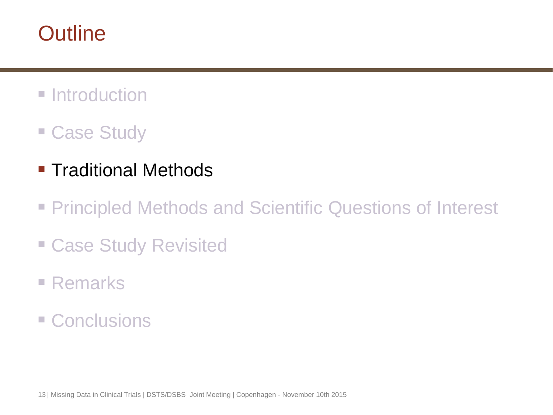## **Outline**

- **Introduction**
- Case Study
- **Traditional Methods**
- **Principled Methods and Scientific Questions of Interest**
- Case Study Revisited
- Remarks
- **E** Conclusions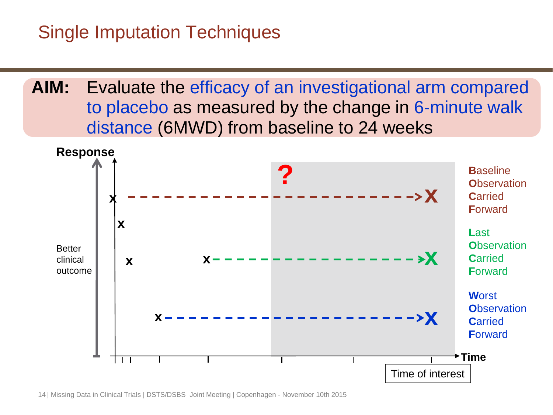### Single Imputation Techniques

**AIM:** Evaluate the efficacy of an investigational arm compared to placebo as measured by the change in 6-minute walk distance (6MWD) from baseline to 24 weeks

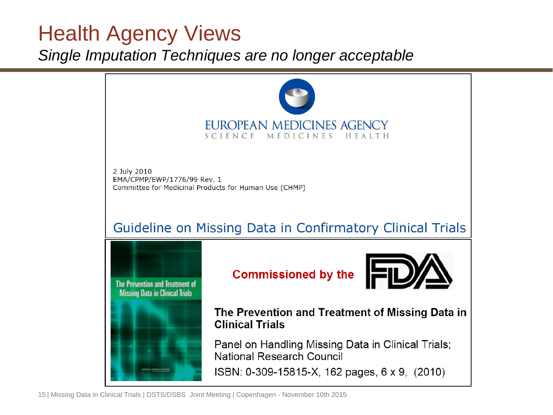## Health Agency Views

*Single Imputation Techniques are no longer acceptable*

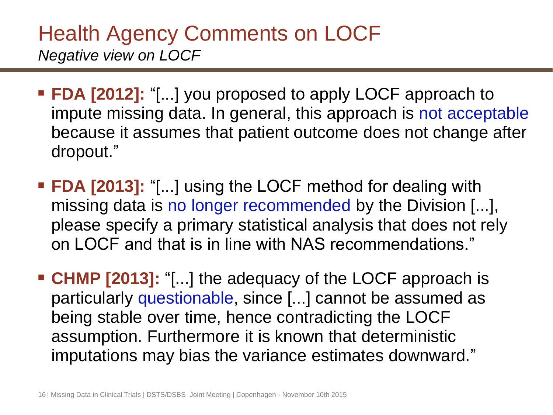## Health Agency Comments on LOCF *Negative view on LOCF*

- **FDA [2012]:** "[...] you proposed to apply LOCF approach to impute missing data. In general, this approach is not acceptable because it assumes that patient outcome does not change after dropout."
- **FDA [2013]:** "[...] using the LOCF method for dealing with missing data is no longer recommended by the Division [...], please specify a primary statistical analysis that does not rely on LOCF and that is in line with NAS recommendations."
- **CHMP [2013]:** "[...] the adequacy of the LOCF approach is particularly questionable, since [...] cannot be assumed as being stable over time, hence contradicting the LOCF assumption. Furthermore it is known that deterministic imputations may bias the variance estimates downward."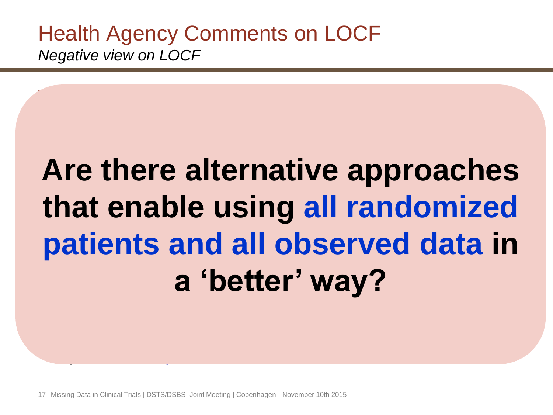Health Agency Comments on LOCF *Negative view on LOCF*

#### dropout." For the Construction of the Local method with the Local method with the Local method with the Local Method with the Local Method with the Local Method with the Local Method with the Local Method with the Local Method with that enable using all randomize please specify a primary statistical analysis that does not rely patients and all observed data **CHMP a** "hefter' way? particularly questionable, since  $\mathbf{y}$  is a summed assumed as summed as summed assumed assumed assumed assu<br>In the assumed assumed as summed as summed as summed as summed as summed as summed as summed as summed as summ **Are there alternative approaches that enable using all randomized patients and all observed data in a 'better' way?**

imputations may bias the variance estimates downward."

**FDA [2012]:** "[...] you proposed to apply LOCF approach to

17 | Missing Data in Clinical Trials | DSTS/DSBS Joint Meeting | Copenhagen - November 10th 2015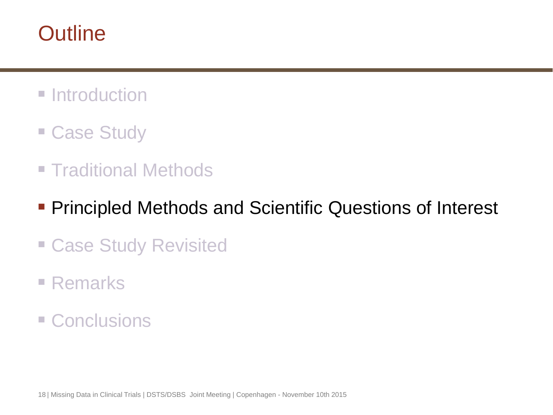## **Outline**

- **Introduction**
- Case Study
- **Traditional Methods**
- **Principled Methods and Scientific Questions of Interest**
- Case Study Revisited
- Remarks
- **E** Conclusions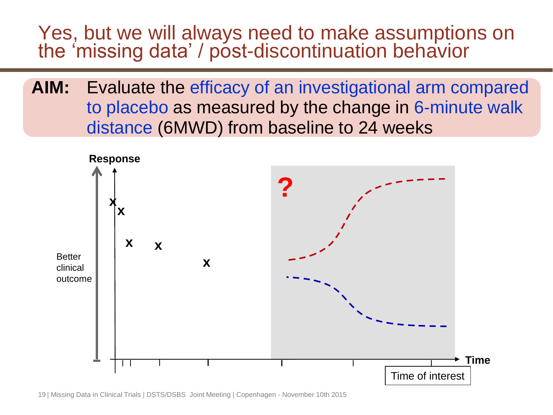#### Yes, but we will always need to make assumptions on the 'missing data' / post-discontinuation behavior

**AIM:** Evaluate the efficacy of an investigational arm compared to placebo as measured by the change in 6-minute walk distance (6MWD) from baseline to 24 weeks

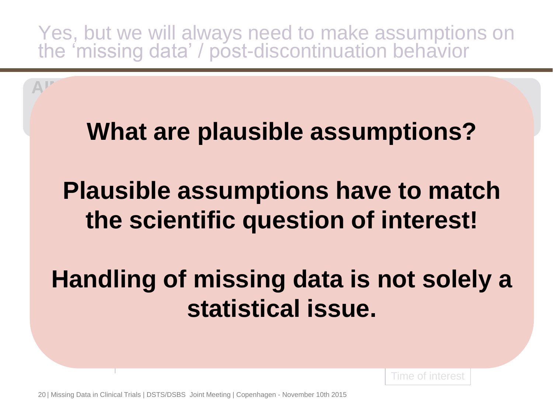Yes, but we will always need to make assumptions on the 'missing data' / post-discontinuation behavior

# **What are plausible assumptions?**

**AIM:** Evaluate the efficacy of an investigational arm compared

#### **x x the scientific question of interest! ? Plausible assumptions have to match**

#### clinical outcome **Handling of missing data is not solely a statistical issue.**

Time of interest

20 | Missing Data in Clinical Trials | DSTS/DSBS Joint Meeting | Copenhagen - November 10th 2015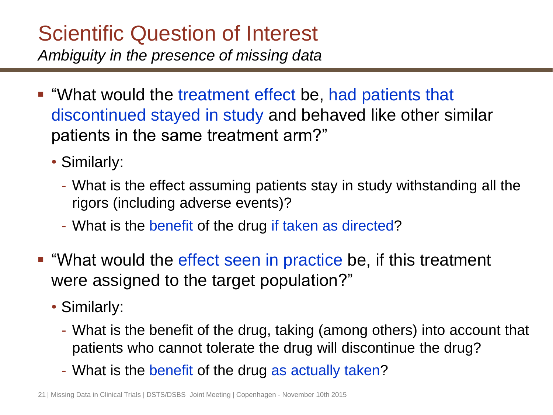# Scientific Question of Interest

*Ambiguity in the presence of missing data*

- "What would the treatment effect be, had patients that discontinued stayed in study and behaved like other similar patients in the same treatment arm?"
	- Similarly:
		- What is the effect assuming patients stay in study withstanding all the rigors (including adverse events)?
		- What is the benefit of the drug if taken as directed?
- "What would the effect seen in practice be, if this treatment were assigned to the target population?"
	- Similarly:
		- What is the benefit of the drug, taking (among others) into account that patients who cannot tolerate the drug will discontinue the drug?
		- What is the benefit of the drug as actually taken?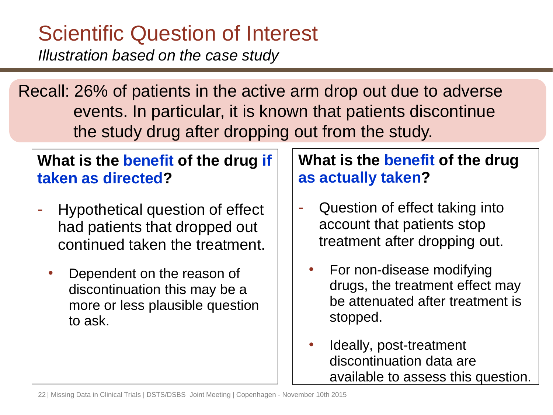# Scientific Question of Interest

*Illustration based on the case study*

Recall: 26% of patients in the active arm drop out due to adverse events. In particular, it is known that patients discontinue the study drug after dropping out from the study.

#### **What is the benefit of the drug if taken as directed?**

- Hypothetical question of effect had patients that dropped out continued taken the treatment.
	- Dependent on the reason of discontinuation this may be a more or less plausible question to ask.

#### **What is the benefit of the drug as actually taken?**

- Question of effect taking into account that patients stop treatment after dropping out.
	- For non-disease modifying drugs, the treatment effect may be attenuated after treatment is stopped.
	- Ideally, post-treatment discontinuation data are available to assess this question.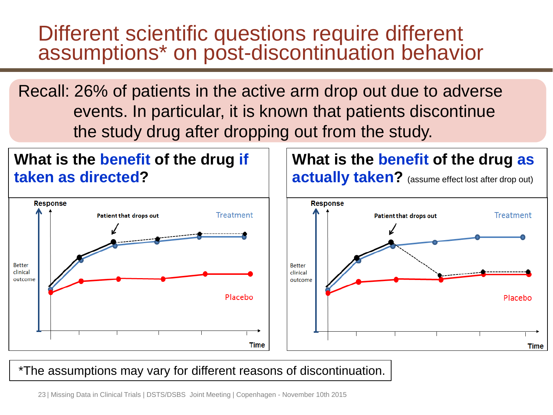## Different scientific questions require different assumptions\* on post-discontinuation behavior

Recall: 26% of patients in the active arm drop out due to adverse events. In particular, it is known that patients discontinue the study drug after dropping out from the study.

**Treatment** 

Placebo

Time



#### \*The assumptions may vary for different reasons of discontinuation.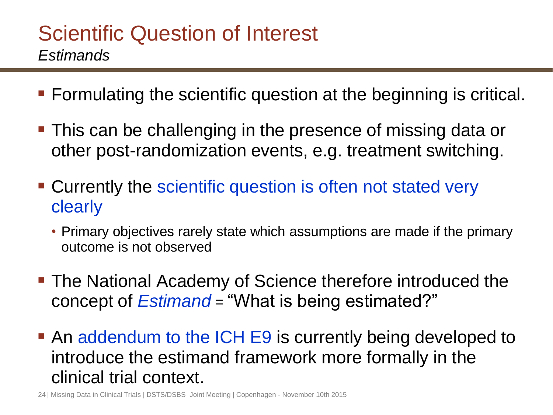## Scientific Question of Interest *Estimands*

- Formulating the scientific question at the beginning is critical.
- This can be challenging in the presence of missing data or other post-randomization events, e.g. treatment switching.
- **Currently the scientific question is often not stated very** clearly
	- Primary objectives rarely state which assumptions are made if the primary outcome is not observed
- **The National Academy of Science therefore introduced the** concept of *Estimand* = "What is being estimated?"
- An addendum to the ICH E9 is currently being developed to introduce the estimand framework more formally in the clinical trial context.

24 | Missing Data in Clinical Trials | DSTS/DSBS Joint Meeting | Copenhagen - November 10th 2015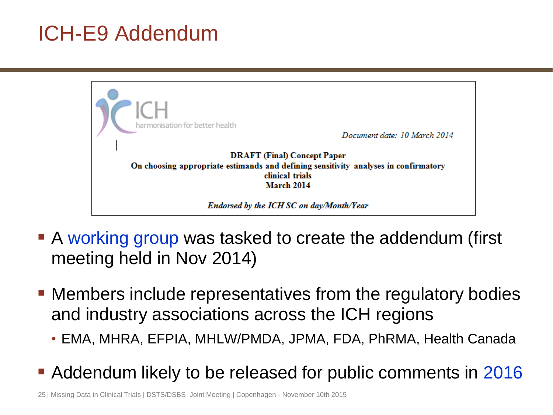## ICH-E9 Addendum



- A working group was tasked to create the addendum (first meeting held in Nov 2014)
- Members include representatives from the regulatory bodies and industry associations across the ICH regions
	- EMA, MHRA, EFPIA, MHLW/PMDA, JPMA, FDA, PhRMA, Health Canada
- **Addendum likely to be released for public comments in 2016**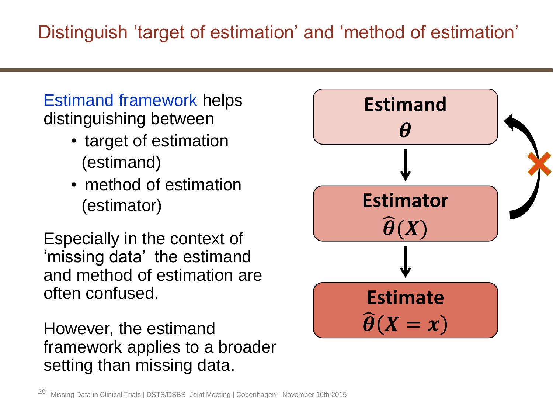#### Estimand framework helps distinguishing between

- target of estimation (estimand)
- method of estimation (estimator)

Especially in the context of 'missing data' the estimand and method of estimation are often confused.

However, the estimand framework applies to a broader setting than missing data.

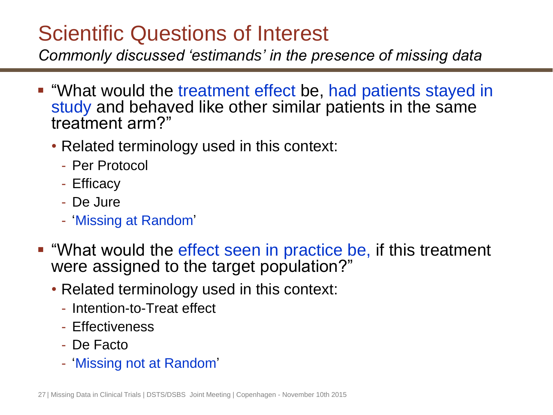## Scientific Questions of Interest

*Commonly discussed 'estimands' in the presence of missing data* 

- "What would the treatment effect be, had patients stayed in study and behaved like other similar patients in the same treatment arm?"
	- Related terminology used in this context:
		- Per Protocol
		- Efficacy
		- De Jure
		- 'Missing at Random'
- "What would the effect seen in practice be, if this treatment were assigned to the target population?"
	- Related terminology used in this context:
		- Intention-to-Treat effect
		- Effectiveness
		- De Facto
		- 'Missing not at Random'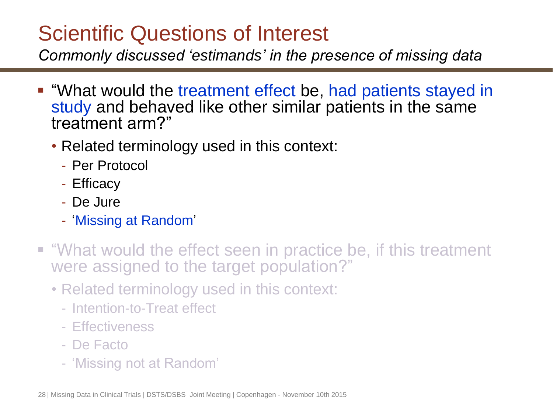## Scientific Questions of Interest

*Commonly discussed 'estimands' in the presence of missing data* 

- "What would the treatment effect be, had patients stayed in study and behaved like other similar patients in the same treatment arm?"
	- Related terminology used in this context:
		- Per Protocol
		- Efficacy
		- De Jure
		- 'Missing at Random'
- "What would the effect seen in practice be, if this treatment were assigned to the target population?"
	- Related terminology used in this context:
		- Intention-to-Treat effect
		- Effectiveness
		- De Facto
		- 'Missing not at Random'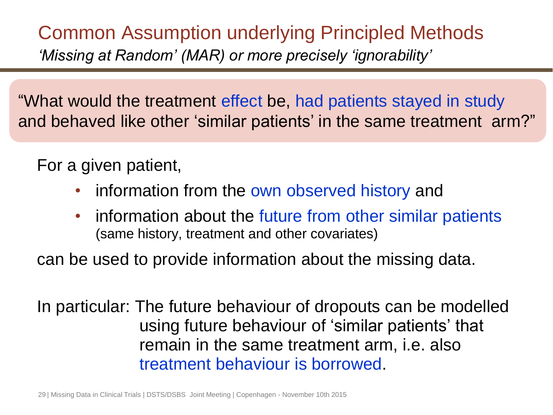Common Assumption underlying Principled Methods *'Missing at Random' (MAR) or more precisely 'ignorability'*

"What would the treatment effect be, had patients stayed in study and behaved like other 'similar patients' in the same treatment arm?"

For a given patient,

- information from the own observed history and
- information about the future from other similar patients (same history, treatment and other covariates)

can be used to provide information about the missing data.

In particular: The future behaviour of dropouts can be modelled using future behaviour of 'similar patients' that remain in the same treatment arm, i.e. also treatment behaviour is borrowed.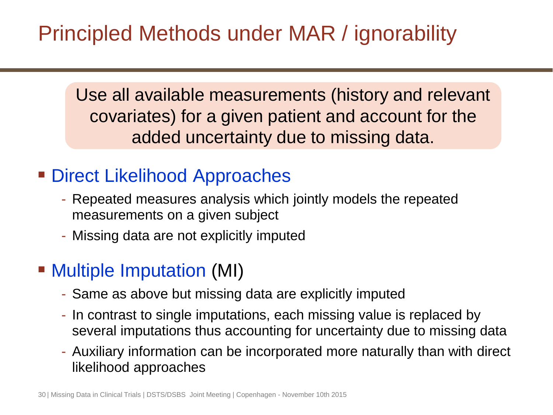# Principled Methods under MAR / ignorability

Use all available measurements (history and relevant covariates) for a given patient and account for the added uncertainty due to missing data.

## ■ Direct Likelihood Approaches

- Repeated measures analysis which jointly models the repeated measurements on a given subject
- Missing data are not explicitly imputed

## ■ Multiple Imputation (MI)

- Same as above but missing data are explicitly imputed
- In contrast to single imputations, each missing value is replaced by several imputations thus accounting for uncertainty due to missing data
- Auxiliary information can be incorporated more naturally than with direct likelihood approaches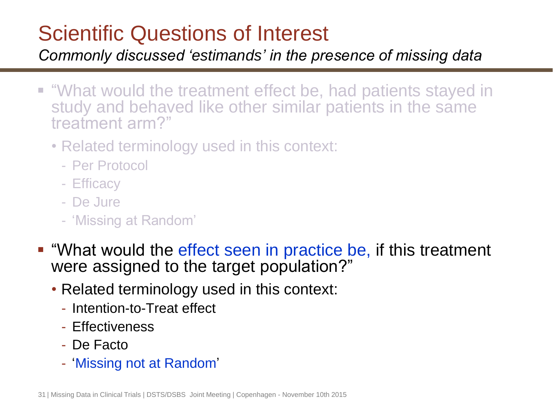## Scientific Questions of Interest

*Commonly discussed 'estimands' in the presence of missing data* 

- "What would the treatment effect be, had patients stayed in study and behaved like other similar patients in the same treatment arm?"
	- Related terminology used in this context:
		- Per Protocol
		- Efficacy
		- De Jure
		- 'Missing at Random'
- "What would the effect seen in practice be, if this treatment were assigned to the target population?"
	- Related terminology used in this context:
		- Intention-to-Treat effect
		- Effectiveness
		- De Facto
		- 'Missing not at Random'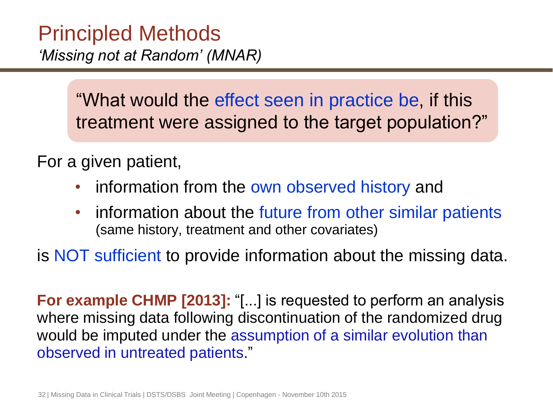## Principled Methods *'Missing not at Random' (MNAR)*

"What would the effect seen in practice be, if this treatment were assigned to the target population?"

For a given patient,

- information from the own observed history and
- information about the future from other similar patients (same history, treatment and other covariates)

is NOT sufficient to provide information about the missing data.

**For example CHMP [2013]:** "[...] is requested to perform an analysis where missing data following discontinuation of the randomized drug would be imputed under the assumption of a similar evolution than observed in untreated patients."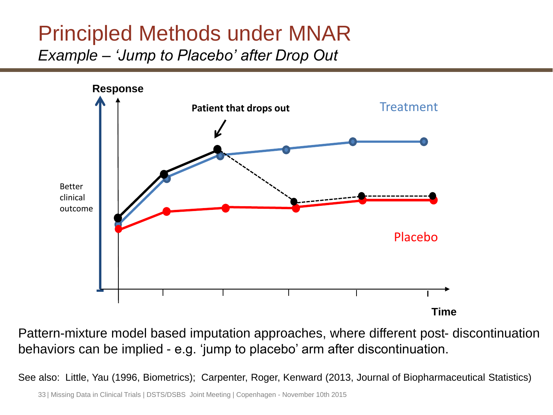### Principled Methods under MNAR *Example – 'Jump to Placebo' after Drop Out*



Pattern-mixture model based imputation approaches, where different post- discontinuation behaviors can be implied - e.g. 'jump to placebo' arm after discontinuation.

See also: Little, Yau (1996, Biometrics); Carpenter, Roger, Kenward (2013, Journal of Biopharmaceutical Statistics)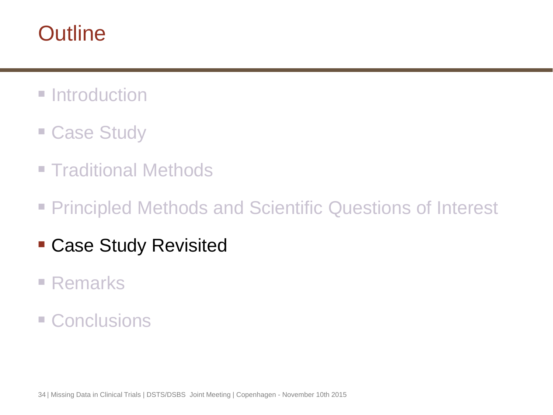## **Outline**

- **Introduction**
- **Case Study**
- **Traditional Methods**
- **Principled Methods and Scientific Questions of Interest**
- Case Study Revisited
- Remarks
- **E** Conclusions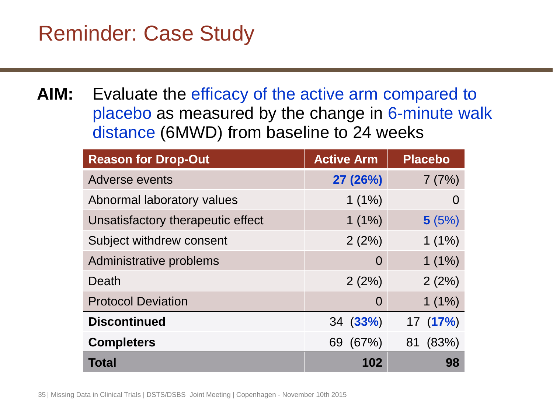## Reminder: Case Study

**AIM:** Evaluate the efficacy of the active arm compared to placebo as measured by the change in 6-minute walk distance (6MWD) from baseline to 24 weeks

| <b>Reason for Drop-Out</b>        | <b>Active Arm</b> | <b>Placebo</b> |
|-----------------------------------|-------------------|----------------|
| Adverse events                    | 27 (26%)          | 7(7%)          |
| Abnormal laboratory values        | $1(1\%)$          | $\Omega$       |
| Unsatisfactory therapeutic effect | $1(1\%)$          | 5(5%)          |
| Subject withdrew consent          | 2(2%)             | $1(1\%)$       |
| Administrative problems           | 0                 | $1(1\%)$       |
| Death                             | 2(2%)             | 2(2%)          |
| <b>Protocol Deviation</b>         | 0                 | $1(1\%)$       |
| <b>Discontinued</b>               | 34(33%)           | 17(17%)        |
| <b>Completers</b>                 | 69 (67%)          | 81 (83%)       |
| Total                             | 102               | 98             |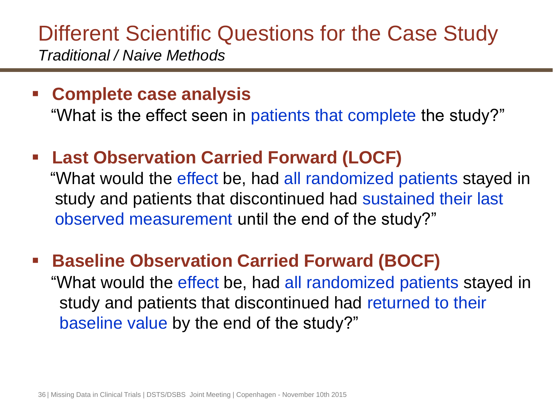## Different Scientific Questions for the Case Study *Traditional / Naive Methods*

#### **Complete case analysis**

"What is the effect seen in patients that complete the study?"

#### **Last Observation Carried Forward (LOCF)**

"What would the effect be, had all randomized patients stayed in study and patients that discontinued had sustained their last observed measurement until the end of the study?"

### **Baseline Observation Carried Forward (BOCF)** "What would the effect be, had all randomized patients stayed in study and patients that discontinued had returned to their baseline value by the end of the study?"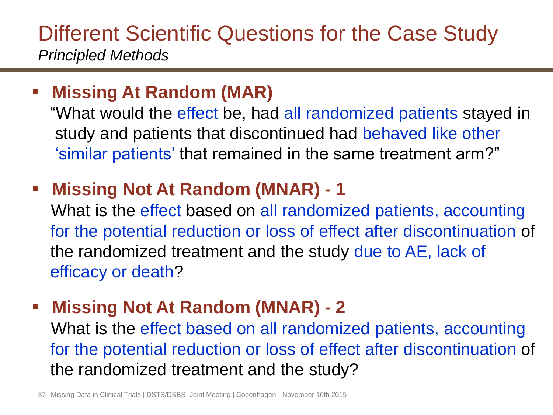## Different Scientific Questions for the Case Study *Principled Methods*

#### **Missing At Random (MAR)**

 "What would the effect be, had all randomized patients stayed in study and patients that discontinued had behaved like other 'similar patients' that remained in the same treatment arm?"

## **Missing Not At Random (MNAR) - 1**

 What is the effect based on all randomized patients, accounting for the potential reduction or loss of effect after discontinuation of the randomized treatment and the study due to AE, lack of efficacy or death?

#### **Missing Not At Random (MNAR) - 2**

 What is the effect based on all randomized patients, accounting for the potential reduction or loss of effect after discontinuation of the randomized treatment and the study?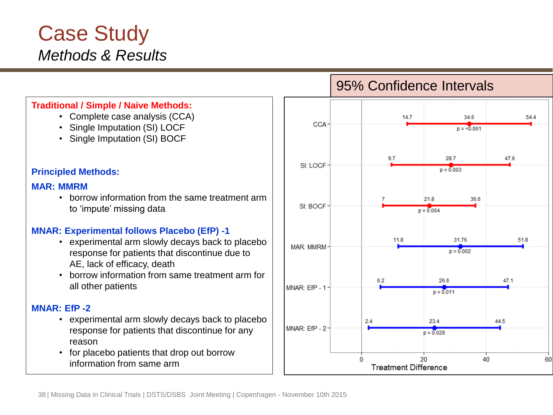## Case Study *Methods & Results*

#### **Traditional / Simple / Naive Methods:**

- Complete case analysis (CCA)
- Single Imputation (SI) LOCF
- Single Imputation (SI) BOCF

#### **Principled Methods:**

#### **MAR: MMRM**

• borrow information from the same treatment arm to 'impute' missing data

#### **MNAR: Experimental follows Placebo (EfP) -1**

- experimental arm slowly decays back to placebo response for patients that discontinue due to AE, lack of efficacy, death
- borrow information from same treatment arm for all other patients

#### **MNAR: EfP -2**

- experimental arm slowly decays back to placebo response for patients that discontinue for any reason
- for placebo patients that drop out borrow information from same arm

#### 95% Confidence Intervals

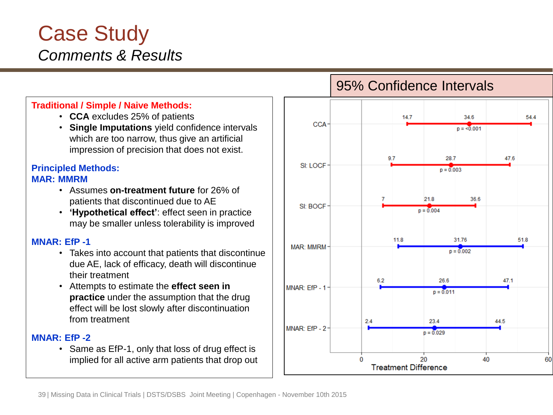#### Case Study *Comments & Results*

#### **Traditional / Simple / Naive Methods:**

- **CCA** excludes 25% of patients
- **Single Imputations** yield confidence intervals which are too narrow, thus give an artificial impression of precision that does not exist.

#### **Principled Methods: MAR: MMRM**

- Assumes **on-treatment future** for 26% of patients that discontinued due to AE
- **'Hypothetical effect'**: effect seen in practice may be smaller unless tolerability is improved

#### **MNAR: EfP -1**

- Takes into account that patients that discontinue due AE, lack of efficacy, death will discontinue their treatment
- Attempts to estimate the **effect seen in practice** under the assumption that the drug effect will be lost slowly after discontinuation from treatment

#### **MNAR: EfP -2**

• Same as EfP-1, only that loss of drug effect is implied for all active arm patients that drop out

#### 95% Confidence Intervals

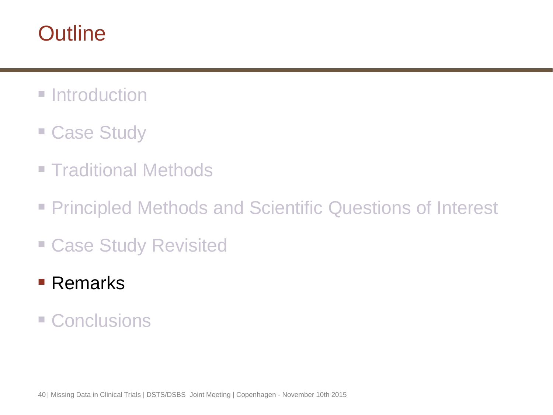## **Outline**

- **Introduction**
- **Case Study**
- **Traditional Methods**
- **Principled Methods and Scientific Questions of Interest**
- Case Study Revisited
- Remarks
- Conclusions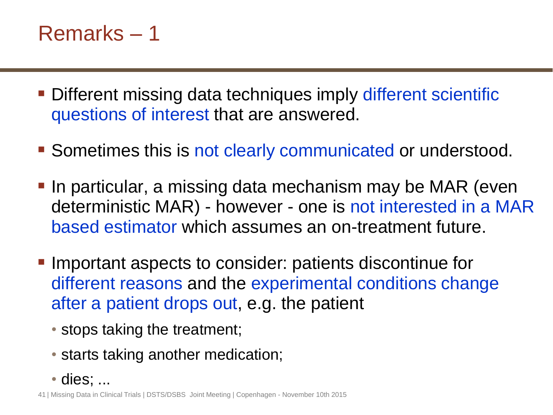## Remarks – 1

- **Different missing data techniques imply different scientific** questions of interest that are answered.
- **Sometimes this is not clearly communicated or understood.**
- **If a** In particular, a missing data mechanism may be MAR (even deterministic MAR) - however - one is not interested in a MAR based estimator which assumes an on-treatment future.
- **Important aspects to consider: patients discontinue for** different reasons and the experimental conditions change after a patient drops out, e.g. the patient
	- stops taking the treatment;
	- starts taking another medication;
	- dies; ...

41 | Missing Data in Clinical Trials | DSTS/DSBS Joint Meeting | Copenhagen - November 10th 2015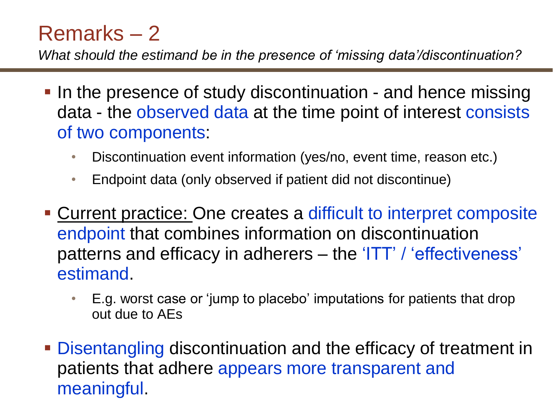## Remarks – 2

*What should the estimand be in the presence of 'missing data'/discontinuation?*

- In the presence of study discontinuation and hence missing data - the observed data at the time point of interest consists of two components:
	- Discontinuation event information (yes/no, event time, reason etc.)
	- Endpoint data (only observed if patient did not discontinue)
- Current practice: One creates a difficult to interpret composite endpoint that combines information on discontinuation patterns and efficacy in adherers – the 'ITT' / 'effectiveness' estimand.
	- E.g. worst case or 'jump to placebo' imputations for patients that drop out due to AEs
- **Disentangling discontinuation and the efficacy of treatment in** patients that adhere appears more transparent and meaningful.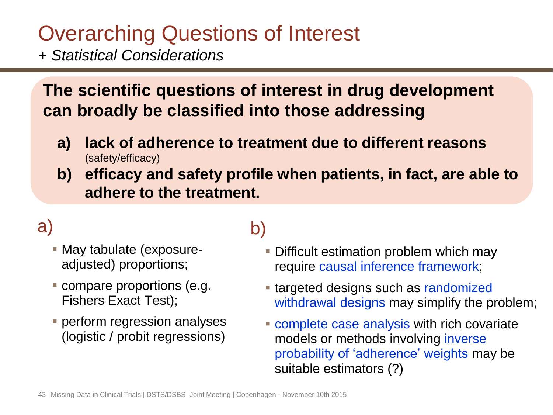# Overarching Questions of Interest

*+ Statistical Considerations*

#### **The scientific questions of interest in drug development can broadly be classified into those addressing**

- **a) lack of adherence to treatment due to different reasons**  (safety/efficacy)
- **b) efficacy and safety profile when patients, in fact, are able to adhere to the treatment.**

## a)

- May tabulate (exposureadjusted) proportions;
- compare proportions (e.g. Fishers Exact Test);
- **Perform regression analyses** (logistic / probit regressions)

## b)

- Difficult estimation problem which may require causal inference framework;
- **targeted designs such as randomized** withdrawal designs may simplify the problem;
- **Complete case analysis with rich covariate** models or methods involving inverse probability of 'adherence' weights may be suitable estimators (?)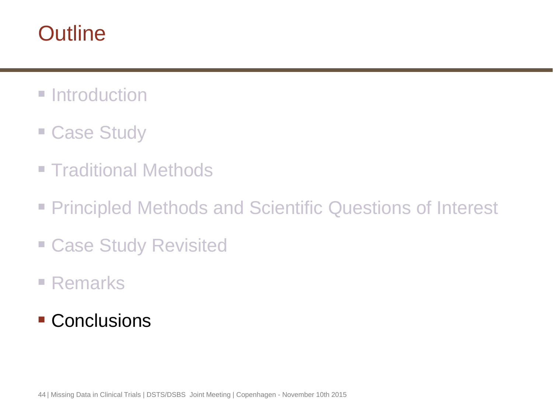## **Outline**

- **Introduction**
- **Case Study**
- **Traditional Methods**
- **Principled Methods and Scientific Questions of Interest**
- Case Study Revisited
- Remarks
- Conclusions